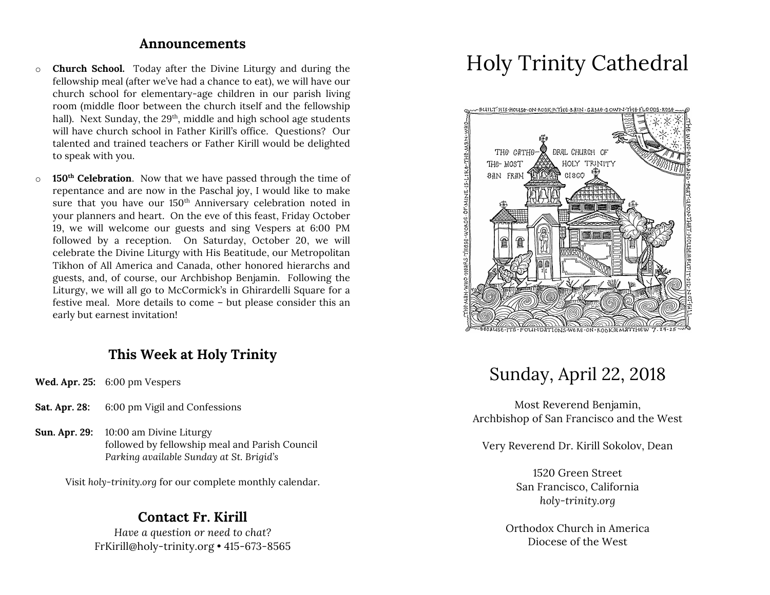#### **Announcements**

- o **Church School.** Today after the Divine Liturgy and during the fellowship meal (after we've had a chance to eat), we will have our church school for elementary-age children in our parish living room (middle floor between the church itself and the fellowship hall). Next Sunday, the 29<sup>th</sup>, middle and high school age students will have church school in Father Kirill's office. Questions? Our talented and trained teachers or Father Kirill would be delighted to speak with you.
- o **150th Celebration**. Now that we have passed through the time of repentance and are now in the Paschal joy, I would like to make sure that you have our 150<sup>th</sup> Anniversary celebration noted in your planners and heart. On the eve of this feast, Friday October 19, we will welcome our guests and sing Vespers at 6:00 PM followed by a reception. On Saturday, October 20, we will celebrate the Divine Liturgy with His Beatitude, our Metropolitan Tikhon of All America and Canada, other honored hierarchs and guests, and, of course, our Archbishop Benjamin. Following the Liturgy, we will all go to McCormick's in Ghirardelli Square for a festive meal. More details to come – but please consider this an early but earnest invitation!

### **This Week at Holy Trinity**

- **Wed. Apr. 25:** 6:00 pm Vespers
- **Sat. Apr. 28:** 6:00 pm Vigil and Confessions
- **Sun. Apr. 29:** 10:00 am Divine Liturgy followed by fellowship meal and Parish Council *Parking available Sunday at St. Brigid's*

Visit *holy-trinity.org* for our complete monthly calendar.

#### **Contact Fr. Kirill**

*Have a question or need to chat?* FrKirill@holy-trinity.org • 415-673-8565

# Holy Trinity Cathedral



### Sunday, April 22, 2018

Most Reverend Benjamin, Archbishop of San Francisco and the West

Very Reverend Dr. Kirill Sokolov, Dean

1520 Green Street San Francisco, California *holy-trinity.org*

Orthodox Church in America Diocese of the West